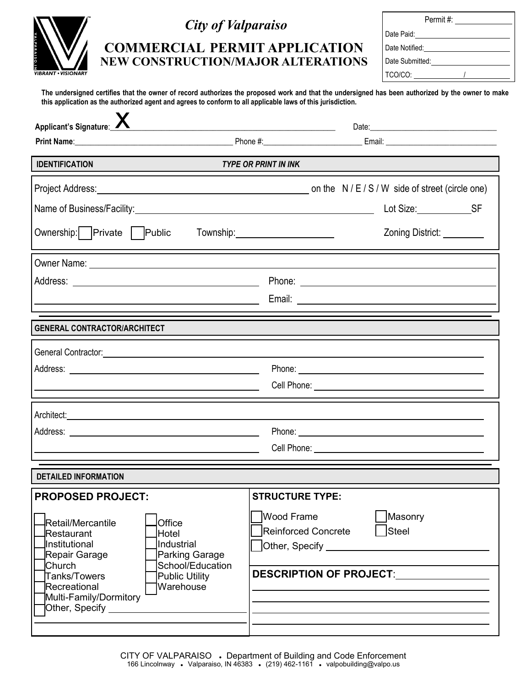| VALPARAISO.IN              |
|----------------------------|
| <b>VIBRANT • VISIONARY</b> |

## *City of Valparaiso*

## **COMMERCIAL PERMIT APPLICATION NEW CONSTRUCTION/MAJOR ALTERATIONS**

| Permit #:       |  |
|-----------------|--|
| Date Paid:      |  |
| Date Notified:  |  |
| Date Submitted: |  |
| TCO/CO:         |  |

**The undersigned certifies that the owner of record authorizes the proposed work and that the undersigned has been authorized by the owner to make this application as the authorized agent and agrees to conform to all applicable laws of this jurisdiction.**

| Applicant's Signature:                                                                                                                                                                                                                                                      | <u> 2000 - Jan James James James James James James James James James James James James James James James James Ja</u>        |  |  |  |
|-----------------------------------------------------------------------------------------------------------------------------------------------------------------------------------------------------------------------------------------------------------------------------|------------------------------------------------------------------------------------------------------------------------------|--|--|--|
|                                                                                                                                                                                                                                                                             |                                                                                                                              |  |  |  |
| <b>TYPE OR PRINT IN INK</b><br><b>IDENTIFICATION</b>                                                                                                                                                                                                                        |                                                                                                                              |  |  |  |
|                                                                                                                                                                                                                                                                             |                                                                                                                              |  |  |  |
|                                                                                                                                                                                                                                                                             | Lot Size: ___________________SF                                                                                              |  |  |  |
| Ownership: Private   Public                                                                                                                                                                                                                                                 | Zoning District: _________<br>Township:_______________________                                                               |  |  |  |
|                                                                                                                                                                                                                                                                             |                                                                                                                              |  |  |  |
|                                                                                                                                                                                                                                                                             |                                                                                                                              |  |  |  |
| <u> 1989 - Johann Barnett, fransk konge</u>                                                                                                                                                                                                                                 |                                                                                                                              |  |  |  |
| <b>GENERAL CONTRACTOR/ARCHITECT</b>                                                                                                                                                                                                                                         |                                                                                                                              |  |  |  |
| General Contractor: etc. And a series of the contractor of the contractor of the contractor of the contractor of                                                                                                                                                            |                                                                                                                              |  |  |  |
|                                                                                                                                                                                                                                                                             |                                                                                                                              |  |  |  |
|                                                                                                                                                                                                                                                                             |                                                                                                                              |  |  |  |
| Architect: <u>Architect:</u>                                                                                                                                                                                                                                                |                                                                                                                              |  |  |  |
|                                                                                                                                                                                                                                                                             |                                                                                                                              |  |  |  |
|                                                                                                                                                                                                                                                                             |                                                                                                                              |  |  |  |
| <b>DETAILED INFORMATION</b>                                                                                                                                                                                                                                                 |                                                                                                                              |  |  |  |
| <b>PROPOSED PROJECT:</b>                                                                                                                                                                                                                                                    | <b>STRUCTURE TYPE:</b>                                                                                                       |  |  |  |
| Retail/Mercantile<br>Office<br>Hotel<br>Restaurant<br>Industrial<br>Institutional<br>Parking Garage<br>Repair Garage<br>School/Education<br>Church<br>Tanks/Towers<br><b>Public Utility</b><br>Warehouse<br>Recreational<br>Multi-Family/Dormitory<br>Other, Specify ______ | <b>Wood Frame</b><br>Masonry<br>Steel<br>Reinforced Concrete<br>Other, Specify ___________<br><b>DESCRIPTION OF PROJECT:</b> |  |  |  |